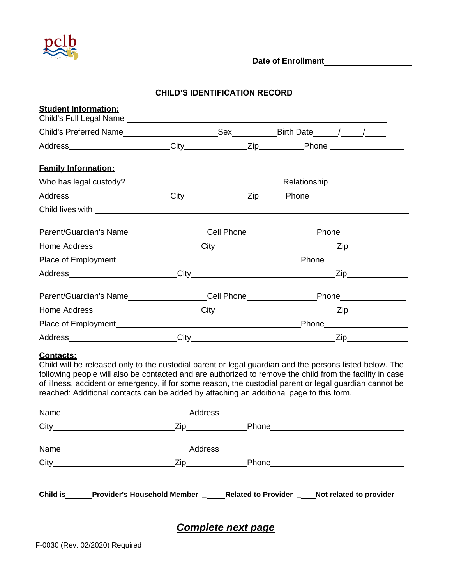

**Date of Enrollment**

## **CHILD'S IDENTIFICATION RECORD**

| <b>Student Information:</b> |  |                                                          |                                                                                                      |  |  |
|-----------------------------|--|----------------------------------------------------------|------------------------------------------------------------------------------------------------------|--|--|
|                             |  |                                                          |                                                                                                      |  |  |
|                             |  |                                                          |                                                                                                      |  |  |
| <b>Family Information:</b>  |  |                                                          |                                                                                                      |  |  |
|                             |  |                                                          |                                                                                                      |  |  |
|                             |  |                                                          | Address _______________________City ______________Zip Phone ____________________                     |  |  |
|                             |  |                                                          |                                                                                                      |  |  |
|                             |  |                                                          | Parent/Guardian's Name__________________Cell Phone________________Phone______________                |  |  |
|                             |  |                                                          |                                                                                                      |  |  |
|                             |  |                                                          |                                                                                                      |  |  |
|                             |  | Address City City City<br>$\mathsf{Zip} \longrightarrow$ |                                                                                                      |  |  |
|                             |  |                                                          | Parent/Guardian's Name__________________Cell Phone_____________________Phone________________________ |  |  |
|                             |  |                                                          |                                                                                                      |  |  |
|                             |  |                                                          |                                                                                                      |  |  |
|                             |  |                                                          |                                                                                                      |  |  |

## **Contacts:**

Child will be released only to the custodial parent or legal guardian and the persons listed below. The following people will also be contacted and are authorized to remove the child from the facility in case of illness, accident or emergency, if for some reason, the custodial parent or legal guardian cannot be reached: Additional contacts can be added by attaching an additional page to this form.

| Name            | <u> 1989 - Johann Barnett, fransk politiker (d. 1989)</u>                   |  |
|-----------------|-----------------------------------------------------------------------------|--|
|                 |                                                                             |  |
| <b>Child is</b> | Provider's Household Member _ Related to Provider _ Not related to provider |  |

*Complete next page*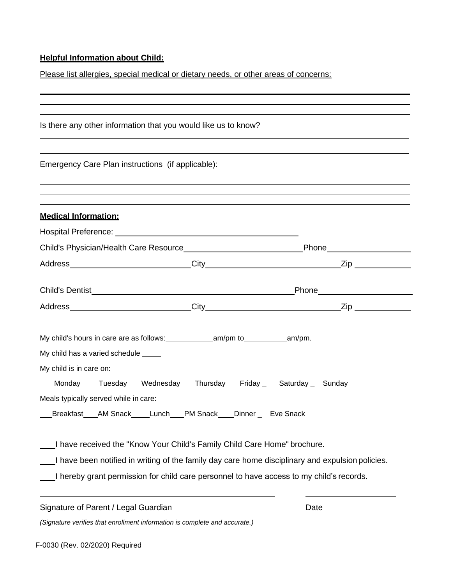## **Helpful Information about Child:**

Please list allergies, special medical or dietary needs, or other areas of concerns:

| Is there any other information that you would like us to know?                                                                                                                                                                                                                                                   |      |
|------------------------------------------------------------------------------------------------------------------------------------------------------------------------------------------------------------------------------------------------------------------------------------------------------------------|------|
| Emergency Care Plan instructions (if applicable):                                                                                                                                                                                                                                                                |      |
|                                                                                                                                                                                                                                                                                                                  |      |
| <u><b>Medical Information:</b></u>                                                                                                                                                                                                                                                                               |      |
|                                                                                                                                                                                                                                                                                                                  |      |
| Child's Physician/Health Care Resource__________________________________Phone______________________                                                                                                                                                                                                              |      |
|                                                                                                                                                                                                                                                                                                                  |      |
|                                                                                                                                                                                                                                                                                                                  |      |
|                                                                                                                                                                                                                                                                                                                  |      |
| My child has a varied schedule ____<br>My child is in care on:<br>___Monday_____Tuesday____Wednesday____Thursday____Friday ____Saturday ___ Sunday<br>Meals typically served while in care:<br>Breakfast AM Snack Lunch PM Snack Dinner Eve Snack                                                                |      |
| I have received the "Know Your Child's Family Child Care Home" brochure.<br>I have been notified in writing of the family day care home disciplinary and expulsion policies.<br>I hereby grant permission for child care personnel to have access to my child's records.<br>Signature of Parent / Legal Guardian | Date |
| (Signature verifies that enrollment information is complete and accurate.)                                                                                                                                                                                                                                       |      |